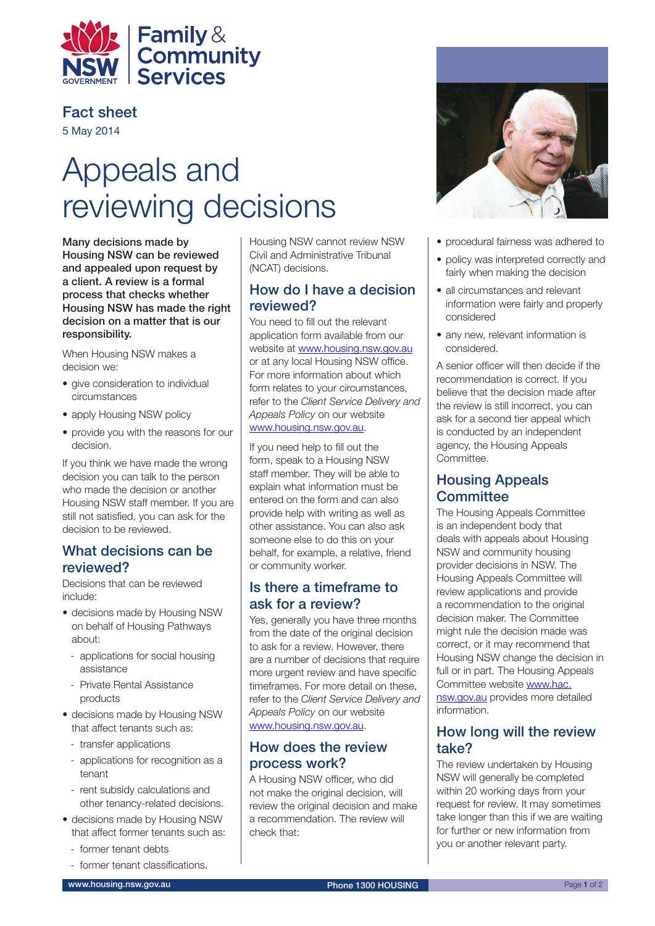

Fact sheet

5 May 2014

# Appeals and reviewing decisions

Many decisions made by Housing NSW can be reviewed and appealed upon request by a client. A review is a formal process that checks whether Housing NSW has made the right decision on a matter that is our responsibility.

When Housing NSW makes a decision we:

- give consideration to individual circumstances
- apply Housing NSW policy
- provide you with the reasons for our decision.

If you think we have made the wrong decision you can talk to the person who made the decision or another Housing NSW staff member. If you are still not satisfied, you can ask for the decision to be reviewed.

#### What decisions can be reviewed?

Decisions that can be reviewed include:

- decisions made by Housing NSW on behalf of Housing Pathways about:
	- applications for social housing assistance
	- Private Rental Assistance products
- decisions made by Housing NSW that affect tenants such as:
	- transfer applications
	- applications for recognition as a tenant
	- rent subsidy calculations and other tenancy-related decisions.
- decisions made by Housing NSW that affect former tenants such as:
	- former tenant debts
	- former tenant classifications.

Housing NSW cannot review NSW Civil and Administrative Tribunal (NCAT) decisions.

#### How do I have a decision reviewed?

You need to fill out the relevant application form available from our website at [www.housing.nsw.gov.au](http://www.housing.nsw.gov.au) or at any local Housing NSW office. For more information about which form relates to your circumstances, refer to the *Client Service Delivery and Appeals Policy* on our website www.housing.nsw.gov.au.

If you need help to fill out the form, speak to a Housing NSW staff member. They will be able to explain what information must be entered on the form and can also provide help with writing as well as other assistance. You can also ask someone else to do this on your behalf, for example, a relative, friend or community worker.

## Is there a timeframe to ask for a review?

Yes, generally you have three months from the date of the original decision to ask for a review. However, there are a number of decisions that require more urgent review and have specific timeframes. For more detail on these, refer to the *Client Service Delivery and Appeals Policy* on our website www.housing.nsw.gov.au.

## How does the review process work?

A Housing NSW officer, who did not make the original decision, will review the original decision and make a recommendation. The review will check that:



- procedural fairness was adhered to
- policy was interpreted correctly and fairly when making the decision
- all circumstances and relevant information were fairly and properly considered
- any new, relevant information is considered.

A senior officer will then decide if the recommendation is correct. If you believe that the decision made after the review is still incorrect, you can ask for a second tier appeal which is conducted by an independent agency, the Housing Appeals Committee.

## Housing Appeals **Committee**

The Housing Appeals Committee is an independent body that deals with appeals about Housing NSW and community housing provider decisions in NSW. The Housing Appeals Committee will review applications and provide a recommendation to the original decision maker. The Committee might rule the decision made was correct, or it may recommend that Housing NSW change the decision in full or in part. The Housing Appeals Committee website [www.hac.](http://www.hac.nsw.gov.au) [nsw.gov.au](http://www.hac.nsw.gov.au) provides more detailed information.

## How long will the review take?

The review undertaken by Housing NSW will generally be completed within 20 working days from your request for review. It may sometimes take longer than this if we are waiting for further or new information from you or another relevant party.